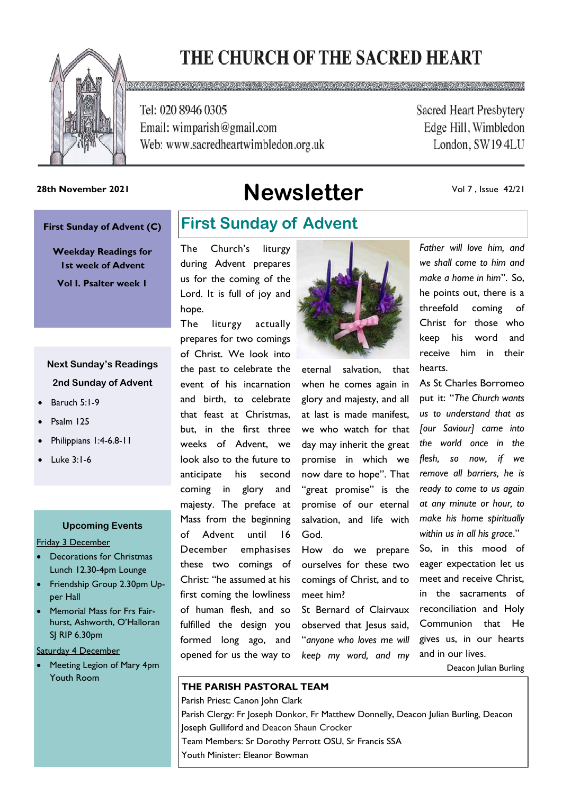# THE CHURCH OF THE SACRED HEART



Tel: 020 8946 0305 Email: wimparish@gmail.com Web: www.sacredheartwimbledon.org.uk

 $0.9022000000$ 

**Sacred Heart Presbytery** Edge Hill, Wimbledon London, SW194LU

# 28th November 2021<br> **Newsletter**

Vol 7 , Issue 42/21

#### **First Sunday of Advent (C)**

**Weekday Readings for 1st week of Advent Vol I. Psalter week 1**

### **Next Sunday's Readings 2nd Sunday of Advent**

- Baruch 5:1-9
- Psalm 125
- Philippians 1:4-6.8-11
- Luke 3:1-6

#### **Upcoming Events**

Friday 3 December

- Decorations for Christmas Lunch 12.30-4pm Lounge
- Friendship Group 2.30pm Upper Hall
- Memorial Mass for Frs Fairhurst, Ashworth, O'Halloran SJ RIP 6.30pm

Saturday 4 December

• Meeting Legion of Mary 4pm Youth Room

# **First Sunday of Advent**

The Church's liturgy during Advent prepares us for the coming of the Lord. It is full of joy and hope.

The liturgy actually prepares for two comings of Christ. We look into the past to celebrate the event of his incarnation and birth, to celebrate that feast at Christmas, but, in the first three weeks of Advent, we look also to the future to anticipate his second coming in glory and majesty. The preface at Mass from the beginning of Advent until 16 December emphasises these two comings of Christ: "he assumed at his first coming the lowliness of human flesh, and so fulfilled the design you formed long ago, and opened for us the way to



eternal salvation, that when he comes again in glory and majesty, and all at last is made manifest, we who watch for that day may inherit the great promise in which we now dare to hope". That "great promise" is the promise of our eternal salvation, and life with God.

How do we prepare ourselves for these two comings of Christ, and to meet him?

St Bernard of Clairvaux observed that Jesus said, "*anyone who loves me will keep my word, and my* 

*Father will love him, and we shall come to him and make a home in him*". So, he points out, there is a threefold coming of Christ for those who keep his word and receive him in their hearts.

As St Charles Borromeo put it: "*The Church wants us to understand that as [our Saviour] came into the world once in the flesh, so now, if we remove all barriers, he is ready to come to us again at any minute or hour, to make his home spiritually within us in all his grace*."

So, in this mood of eager expectation let us meet and receive Christ, in the sacraments of reconciliation and Holy Communion that He gives us, in our hearts and in our lives.

Deacon Julian Burling

#### **THE PARISH PASTORAL TEAM**

Parish Priest: Canon John Clark Parish Clergy: Fr Joseph Donkor, Fr Matthew Donnelly, Deacon Julian Burling, Deacon Joseph Gulliford and Deacon Shaun Crocker Team Members: Sr Dorothy Perrott OSU, Sr Francis SSA Youth Minister: Eleanor Bowman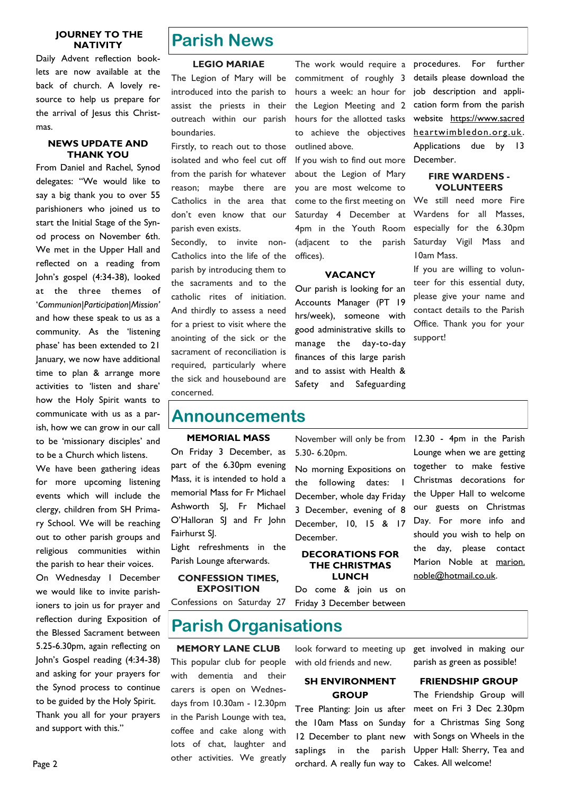#### **JOURNEY TO THE NATIVITY**

Daily Advent reflection booklets are now available at the back of church. A lovely resource to help us prepare for the arrival of Jesus this Christmas.

#### **NEWS UPDATE AND THANK YOU**

From Daniel and Rachel, Synod delegates: "We would like to say a big thank you to over 55 parishioners who joined us to start the Initial Stage of the Synod process on November 6th. We met in the Upper Hall and reflected on a reading from John's gospel (4:34-38), looked at the three themes of '*Communion|Participation|Mission'*  and how these speak to us as a community. As the 'listening phase' has been extended to 21 January, we now have additional time to plan & arrange more activities to 'listen and share' how the Holy Spirit wants to communicate with us as a parish, how we can grow in our call to be 'missionary disciples' and to be a Church which listens.

We have been gathering ideas for more upcoming listening events which will include the clergy, children from SH Primary School. We will be reaching out to other parish groups and religious communities within the parish to hear their voices.

On Wednesday 1 December we would like to invite parishioners to join us for prayer and reflection during Exposition of the Blessed Sacrament between 5.25-6.30pm, again reflecting on John's Gospel reading (4:34-38) and asking for your prayers for the Synod process to continue to be guided by the Holy Spirit. Thank you all for your prayers and support with this."

# **Parish News**

#### **LEGIO MARIAE**

The Legion of Mary will be introduced into the parish to assist the priests in their outreach within our parish boundaries.

Firstly, to reach out to those isolated and who feel cut off from the parish for whatever reason; maybe there are Catholics in the area that don't even know that our parish even exists.

Secondly, to invite non-Catholics into the life of the parish by introducing them to the sacraments and to the catholic rites of initiation. And thirdly to assess a need for a priest to visit where the anointing of the sick or the sacrament of reconciliation is required, particularly where the sick and housebound are concerned.

The work would require a commitment of roughly 3 hours a week: an hour for the Legion Meeting and 2 hours for the allotted tasks to achieve the objectives outlined above.

If you wish to find out more about the Legion of Mary you are most welcome to come to the first meeting on Saturday 4 December at 4pm in the Youth Room (adjacent to the parish offices).

#### **VACANCY**

Our parish is looking for an Accounts Manager (PT 19 hrs/week), someone with good administrative skills to manage the day-to-day finances of this large parish and to assist with Health & Safety and Safeguarding

No morning Expositions on the following dates: I December, whole day Friday 3 December, evening of 8 December, 10, 15 & 17

**DECORATIONS FOR THE CHRISTMAS LUNCH**  Do come & join us on

5.30- 6.20pm.

December.

procedures. For further details please download the job description and application form from the parish website https://www.sacred heartwimbledon.org.uk . Applications due by 13 December.

#### **FIRE WARDENS - VOLUNTEERS**

We still need more Fire Wardens for all Masses, especially for the 6.30pm Saturday Vigil Mass and 10am Mass.

If you are willing to volunteer for this essential duty, please give your name and contact details to the Parish Office. Thank you for your support!

## **Announcements**

#### **MEMORIAL MASS**

On Friday 3 December, as part of the 6.30pm evening Mass, it is intended to hold a memorial Mass for Fr Michael Ashworth SJ, Fr Michael O'Halloran SJ and Fr John Fairhurst SJ.

Light refreshments in the Parish Lounge afterwards.

#### **CONFESSION TIMES, EXPOSITION**

Friday 3 December between Confessions on Saturday 27

**Parish Organisations**

#### **MEMORY LANE CLUB**

This popular club for people with dementia and their carers is open on Wednesdays from 10.30am - 12.30pm in the Parish Lounge with tea, coffee and cake along with lots of chat, laughter and other activities. We greatly with old friends and new.

#### **SH ENVIRONMENT GROUP**

Tree Planting: Join us after the 10am Mass on Sunday 12 December to plant new saplings in the parish orchard. A really fun way to

November will only be from 12.30 - 4pm in the Parish Lounge when we are getting together to make festive Christmas decorations for the Upper Hall to welcome our guests on Christmas Day. For more info and should you wish to help on the day, please contact Marion Noble at marion. noble@hotmail.co.uk.

look forward to meeting up get involved in making our parish as green as possible!

#### **FRIENDSHIP GROUP**

The Friendship Group will meet on Fri 3 Dec 2.30pm for a Christmas Sing Song with Songs on Wheels in the Upper Hall: Sherry, Tea and Cakes. All welcome!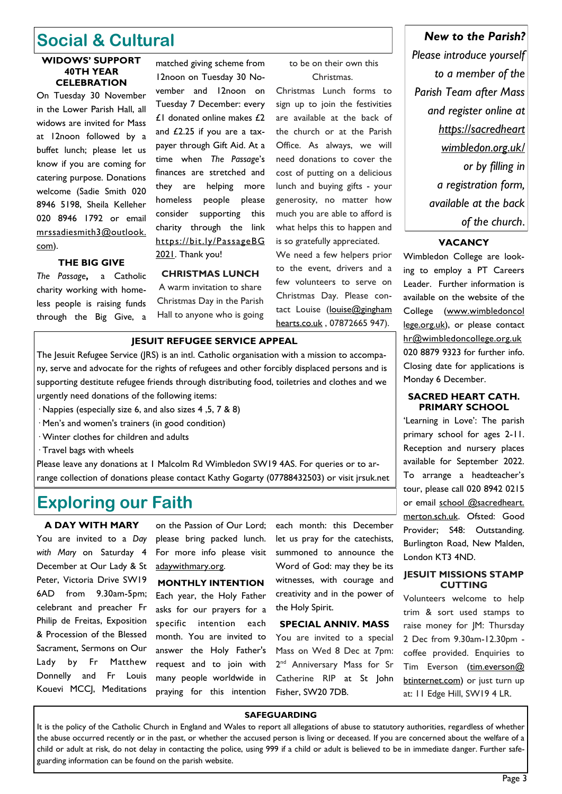# **Social & Cultural**

#### **WIDOWS' SUPPORT 40TH YEAR CELEBRATION**

On Tuesday 30 November in the Lower Parish Hall, all widows are invited for Mass at 12noon followed by a buffet lunch; please let us know if you are coming for catering purpose. Donations welcome (Sadie Smith 020 8946 5198, Sheila Kelleher 020 8946 1792 or email mrssadiesmith3@outlook. com).

£1 donated online makes £2 and £2.25 if you are a taxpayer through Gift Aid. At a time when *The Passage*'s finances are stretched and they are helping more homeless people please consider supporting this charity through the link [https://bit.ly/PassageBG](https://bit.ly/PassageBG2021)  [2021.](https://bit.ly/PassageBG2021) Thank you!

matched giving scheme from 12noon on Tuesday 30 November and 12noon on Tuesday 7 December: every

### **THE BIG GIVE**

*The Passage***,** a Catholic charity working with homeless people is raising funds through the Big Give, a

**CHRISTMAS LUNCH** A warm invitation to share Christmas Day in the Parish Hall to anyone who is going

#### to be on their own this Christmas.

Christmas Lunch forms to sign up to join the festivities are available at the back of the church or at the Parish Office. As always, we will need donations to cover the cost of putting on a delicious lunch and buying gifts - your generosity, no matter how much you are able to afford is what helps this to happen and is so gratefully appreciated.

We need a few helpers prior to the event, drivers and a few volunteers to serve on Christmas Day. Please contact Louise ([louise@gingham](mailto:louise@ginghamhearts.co.uk)  [hearts.co.uk](mailto:louise@ginghamhearts.co.uk) , 07872665 947).

#### **JESUIT REFUGEE SERVICE APPEAL**

The Jesuit Refugee Service (JRS) is an intl. Catholic organisation with a mission to accompany, serve and advocate for the rights of refugees and other forcibly displaced persons and is supporting destitute refugee friends through distributing food, toiletries and clothes and we urgently need donations of the following items:

- · Nappies (especially size 6, and also sizes 4 ,5, 7 & 8)
- · Men's and women's trainers (in good condition)
- · Winter clothes for children and adults
- · Travel bags with wheels

Please leave any donations at 1 Malcolm Rd Wimbledon SW19 4AS. For queries or to arrange collection of donations please contact Kathy Gogarty (07788432503) or visit jrsuk.net

# **Exploring our Faith**

**A DAY WITH MARY** You are invited to a *Day with Mary* on Saturday 4 December at Our Lady & St Peter, Victoria Drive SW19 6AD from 9.30am-5pm; celebrant and preacher Fr Philip de Freitas, Exposition & Procession of the Blessed Sacrament, Sermons on Our Lady by Fr Matthew Donnelly and Fr Louis Kouevi MCCJ, Meditations

on the Passion of Our Lord; please bring packed lunch. For more info please visit adaywithmary.org.

**MONTHLY INTENTION** Each year, the Holy Father asks for our prayers for a specific intention each month. You are invited to answer the Holy Father's request and to join with many people worldwide in praying for this intention

each month: this December let us pray for the catechists, summoned to announce the Word of God: may they be its witnesses, with courage and creativity and in the power of the Holy Spirit.

#### **SPECIAL ANNIV. MASS**

You are invited to a special Mass on Wed 8 Dec at 7pm: 2<sup>nd</sup> Anniversary Mass for Sr Catherine RIP at St John Fisher, SW20 7DB.

# *New to the Parish?*

*Please introduce yourself to a member of the Parish Team after Mass and register online at https://sacredheart wimbledon.org.uk/ or by filling in a registration form, available at the back of the church*.

#### **VACANCY**

Wimbledon College are looking to employ a PT Careers Leader. Further information is available on the website of the College ([www.wimbledoncol](http://www.wimbledoncollege.org.uk/)  [lege.org.uk\),](http://www.wimbledoncollege.org.uk/) or please contact [hr@wimbledoncollege.org.uk](mailto:hr@wimbledoncollege.org.uk) 020 8879 9323 for further info. Closing date for applications is Monday 6 December.

#### **SACRED HEART CATH. PRIMARY SCHOOL**

'Learning in Love': The parish primary school for ages 2-11. Reception and nursery places available for September 2022. To arrange a headteacher's tour, please call 020 8942 0215 or email school @sacredheart. merton.sch.uk. Ofsted: Good Provider; S48: Outstanding. Burlington Road, New Malden, London KT3 4ND.

#### **JESUIT MISSIONS STAMP CUTTING**

Volunteers welcome to help trim & sort used stamps to raise money for JM: Thursday 2 Dec from 9.30am-12.30pm coffee provided. Enquiries to Tim Everson (tim.everson@ [btinternet.com\)](mailto:tim.everson@btinternet.com) or just turn up at: 11 Edge Hill, SW19 4 LR.

#### **SAFEGUARDING**

It is the policy of the Catholic Church in England and Wales to report all allegations of abuse to statutory authorities, regardless of whether the abuse occurred recently or in the past, or whether the accused person is living or deceased. If you are concerned about the welfare of a child or adult at risk, do not delay in contacting the police, using 999 if a child or adult is believed to be in immediate danger. Further safeguarding information can be found on the parish website.